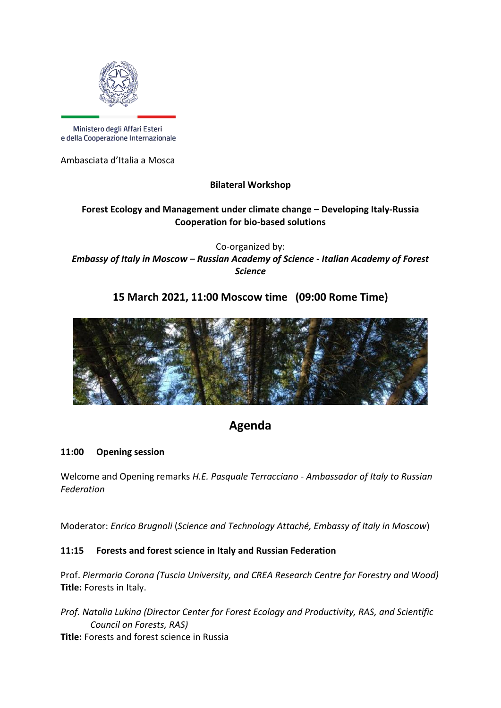

Ministero degli Affari Esteri e della Cooperazione Internazionale

Ambasciata d'Italia a Mosca

**Bilateral Workshop**

# **Forest Ecology and Management under climate change – Developing Italy-Russia Cooperation for bio-based solutions**

Co-organized by: *Embassy of Italy in Moscow – Russian Academy of Science - Italian Academy of Forest Science*

# **15 March 2021, 11:00 Moscow time (09:00 Rome Time)**



# **Agenda**

# **11:00 Opening session**

Welcome and Opening remarks *H.E. Pasquale Terracciano* - *Ambassador of Italy to Russian Federation*

Moderator: *Enrico Brugnoli* (*Science and Technology Attaché, Embassy of Italy in Moscow*)

# **11:15 Forests and forest science in Italy and Russian Federation**

Prof. *Piermaria Corona (Tuscia University, and CREA Research Centre for Forestry and Wood)* **Title:** Forests in Italy.

*Prof. Natalia Lukina (Director Center for Forest Ecology and Productivity, RAS, and Scientific Council on Forests, RAS)* **Title:** Forests and forest science in Russia